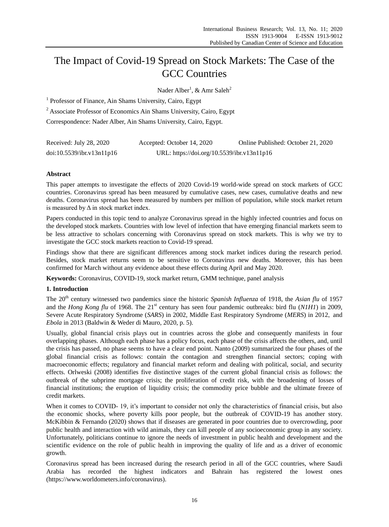# The Impact of Covid-19 Spread on Stock Markets: The Case of the GCC Countries

Nader Alber<sup>1</sup>, & Amr Saleh<sup>2</sup>

<sup>1</sup> Professor of Finance, Ain Shams University, Cairo, Egypt

<sup>2</sup> Associate Professor of Economics Ain Shams University, Cairo, Egypt

Correspondence: Nader Alber, Ain Shams University, Cairo, Egypt.

| Received: July 28, 2020   | Accepted: October 14, 2020                 | Online Published: October 21, 2020 |
|---------------------------|--------------------------------------------|------------------------------------|
| doi:10.5539/ibr.v13n11p16 | URL: https://doi.org/10.5539/ibr.v13n11p16 |                                    |

# **Abstract**

This paper attempts to investigate the effects of 2020 Covid-19 world-wide spread on stock markets of GCC countries. Coronavirus spread has been measured by cumulative cases, new cases, cumulative deaths and new deaths. Coronavirus spread has been measured by numbers per million of population, while stock market return is measured by  $\Delta$  in stock market index.

Papers conducted in this topic tend to analyze Coronavirus spread in the highly infected countries and focus on the developed stock markets. Countries with low level of infection that have emerging financial markets seem to be less attractive to scholars concerning with Coronavirus spread on stock markets. This is why we try to investigate the GCC stock markets reaction to Covid-19 spread.

Findings show that there are significant differences among stock market indices during the research period. Besides, stock market returns seem to be sensitive to Coronavirus new deaths. Moreover, this has been confirmed for March without any evidence about these effects during April and May 2020.

**Keywords:** Coronavirus, COVID-19, stock market return, GMM technique, panel analysis

## **1. Introduction**

The 20<sup>th</sup> century witnessed two pandemics since the historic *Spanish Influenza* of 1918, the *Asian flu* of 1957 and the *Hong Kong flu* of 1968. The 21<sup>st</sup> century has seen four pandemic outbreaks: bird flu (*N1H1*) in 2009, Severe Acute Respiratory Syndrome (*SARS*) in 2002, Middle East Respiratory Syndrome (*MERS*) in 2012, and *Ebola* in 2013 (Baldwin & Weder di Mauro, 2020, p. 5).

Usually, global financial crisis plays out in countries across the globe and consequently manifests in four overlapping phases. Although each phase has a policy focus, each phase of the crisis affects the others, and, until the crisis has passed, no phase seems to have a clear end point. Nanto (2009) summarized the four phases of the global financial crisis as follows: contain the contagion and strengthen financial sectors; coping with macroeconomic effects; regulatory and financial market reform and dealing with political, social, and security effects. Orlweski (2008) identifies five distinctive stages of the current global financial crisis as follows: the outbreak of the subprime mortgage crisis; the proliferation of credit risk, with the broadening of losses of financial institutions; the eruption of liquidity crisis; the commodity price bubble and the ultimate freeze of credit markets.

When it comes to COVID- 19, it's important to consider not only the characteristics of financial crisis, but also the economic shocks, where poverty kills poor people, but the outbreak of COVID-19 has another story. McKibbin & Fernando (2020) shows that if diseases are generated in poor countries due to overcrowding, poor public health and interaction with wild animals, they can kill people of any socioeconomic group in any society. Unfortunately, politicians continue to ignore the needs of investment in public health and development and the scientific evidence on the role of public health in improving the quality of life and as a driver of economic growth.

Coronavirus spread has been increased during the research period in all of the GCC countries, where Saudi Arabia has recorded the highest indicators and Bahrain has registered the lowest ones (https://www.worldometers.info/coronavirus).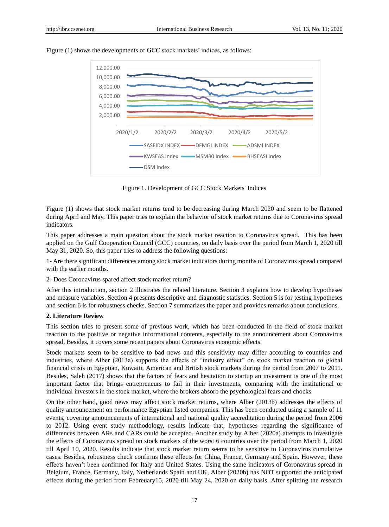

Figure (1) shows the developments of GCC stock markets' indices, as follows:

Figure 1. Development of GCC Stock Markets' Indices

Figure (1) shows that stock market returns tend to be decreasing during March 2020 and seem to be flattened during April and May. This paper tries to explain the behavior of stock market returns due to Coronavirus spread indicators.

This paper addresses a main question about the stock market reaction to Coronavirus spread. This has been applied on the Gulf Cooperation Council (GCC) countries, on daily basis over the period from March 1, 2020 till May 31, 2020. So, this paper tries to address the following questions:

1- Are there significant differences among stock market indicators during months of Coronavirus spread compared with the earlier months.

2- Does Coronavirus spared affect stock market return?

After this introduction, section 2 illustrates the related literature. Section 3 explains how to develop hypotheses and measure variables. Section 4 presents descriptive and diagnostic statistics. Section 5 is for testing hypotheses and section 6 is for robustness checks. Section 7 summarizes the paper and provides remarks about conclusions.

## **2. Literature Review**

This section tries to present some of previous work, which has been conducted in the field of stock market reaction to the positive or negative informational contents, especially to the announcement about Coronavirus spread. Besides, it covers some recent papers about Coronavirus economic effects.

Stock markets seem to be sensitive to bad news and this sensitivity may differ according to countries and industries, where Alber (2013a) supports the effects of "industry effect" on stock market reaction to global financial crisis in Egyptian, Kuwaiti, American and British stock markets during the period from 2007 to 2011. Besides, Saleh (2017) shows that the factors of fears and hesitation to startup an investment is one of the most important factor that brings entrepreneurs to fail in their investments, comparing with the institutional or individual investors in the stock market, where the brokers absorb the psychological fears and chocks.

On the other hand, good news may affect stock market returns, where Alber (2013b) addresses the effects of quality announcement on performance Egyptian listed companies. This has been conducted using a sample of 11 events, covering announcements of international and national quality accreditation during the period from 2006 to 2012. Using event study methodology, results indicate that, hypotheses regarding the significance of differences between ARs and CARs could be accepted. Another study by Alber (2020a) attempts to investigate the effects of Coronavirus spread on stock markets of the worst 6 countries over the period from March 1, 2020 till April 10, 2020. Results indicate that stock market return seems to be sensitive to Coronavirus cumulative cases. Besides, robustness check confirms these effects for China, France, Germany and Spain. However, these effects haven't been confirmed for Italy and United States. Using the same indicators of Coronavirus spread in Belgium, France, Germany, Italy, Netherlands Spain and UK, Alber (2020b) has NOT supported the anticipated effects during the period from Febreuary15, 2020 till May 24, 2020 on daily basis. After splitting the research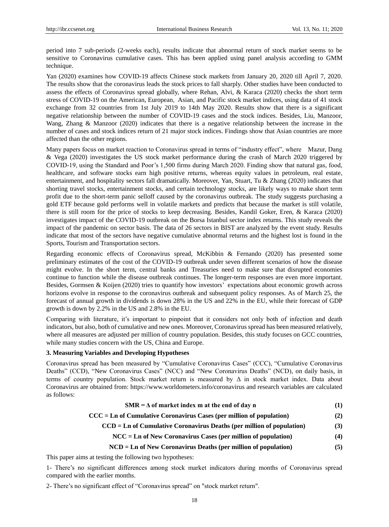period into 7 sub-periods (2-weeks each), results indicate that abnormal return of stock market seems to be sensitive to Coronavirus cumulative cases. This has been applied using panel analysis according to GMM technique.

Yan (2020) examines how COVID-19 affects Chinese stock markets from January 20, 2020 till April 7, 2020. The results show that the coronavirus leads the stock prices to fall sharply. Other studies have been conducted to assess the effects of Coronavirus spread globally, where Rehan, Alvi, & Karaca (2020) checks the short term stress of COVID-19 on the American, European, Asian, and Pacific stock market indices, using data of 41 stock exchange from 32 countries from 1st July 2019 to 14th May 2020. Results show that there is a significant negative relationship between the number of COVID-19 cases and the stock indices. Besides, Liu, Manzoor, Wang, Zhang & Manzoor (2020) indicates that there is a negative relationship between the increase in the number of cases and stock indices return of 21 major stock indices. Findings show that Asian countries are more affected than the other regions.

Many papers focus on market reaction to Coronavirus spread in terms of "industry effect", where Mazur, Dang & Vega (2020) investigates the US stock market performance during the crash of March 2020 triggered by COVID-19, using the Standard and Poor's 1,500 firms during March 2020. Finding show that natural gas, food, healthcare, and software stocks earn high positive returns, whereas equity values in petroleum, real estate, entertainment, and hospitality sectors fall dramatically. Moreover, Yan, Stuart, Tu & Zhang (2020) indicates that shorting travel stocks, entertainment stocks, and certain technology stocks, are likely ways to make short term profit due to the short-term panic selloff caused by the coronavirus outbreak. The study suggests purchasing a gold ETF because gold performs well in volatile markets and predicts that because the market is still volatile, there is still room for the price of stocks to keep decreasing. Besides, Kandil Goker, Eren, & Karaca (2020) investigates impact of the COVID-19 outbreak on the Borsa Istanbul sector index returns. This study reveals the impact of the pandemic on sector basis. The data of 26 sectors in BIST are analyzed by the event study. Results indicate that most of the sectors have negative cumulative abnormal returns and the highest lost is found in the Sports, Tourism and Transportation sectors.

Regarding economic effects of Coronavirus spread, McKibbin & Fernando (2020) has presented some preliminary estimates of the cost of the COVID-19 outbreak under seven different scenarios of how the disease might evolve. In the short term, central banks and Treasuries need to make sure that disrupted economies continue to function while the disease outbreak continues. The longer-term responses are even more important. Besides, Gormsen & Koijen (2020) tries to quantify how investors' expectations about economic growth across horizons evolve in response to the coronavirus outbreak and subsequent policy responses. As of March 25, the forecast of annual growth in dividends is down 28% in the US and 22% in the EU, while their forecast of GDP growth is down by 2.2% in the US and 2.8% in the EU.

Comparing with literature, it's important to pinpoint that it considers not only both of infection and death indicators, but also, both of cumulative and new ones. Moreover, Coronavirus spread has been measured relatively, where all measures are adjusted per million of country population. Besides, this study focuses on GCC countries, while many studies concern with the US, China and Europe.

## **3. Measuring Variables and Developing Hypotheses**

Coronavirus spread has been measured by "Cumulative Coronavirus Cases" (CCC), "Cumulative Coronavirus Deaths" (CCD), "New Coronavirus Cases" (NCC) and "New Coronavirus Deaths" (NCD), on daily basis, in terms of country population. Stock market return is measured by  $\Delta$  in stock market index. Data about Coronavirus are obtained from: https://www.worldometers.info/coronavirus and research variables are calculated as follows:

| $SMR = \Delta$ of market index m at the end of day n |  |
|------------------------------------------------------|--|
|------------------------------------------------------|--|

**CCC = Ln of Cumulative Coronavirus Cases (per million of population) (2)**

**CCD = Ln of Cumulative Coronavirus Deaths (per million of population) (3)** 

**NCC = Ln of New Coronavirus Cases (per million of population) (4)**

**NCD = Ln of New Coronavirus Deaths (per million of population) (5)**

This paper aims at testing the following two hypotheses:

1- There's no significant differences among stock market indicators during months of Coronavirus spread compared with the earlier months.

2- There's no significant effect of "Coronavirus spread" on "stock market return".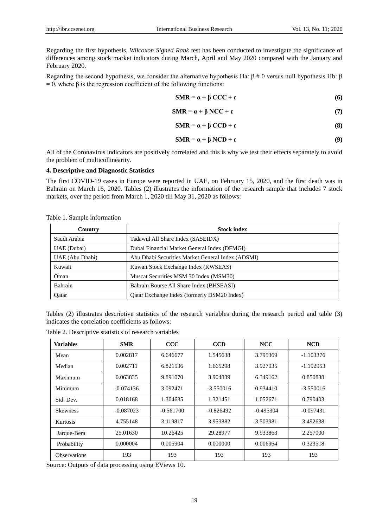Regarding the first hypothesis, *Wilcoxon Signed Rank* test has been conducted to investigate the significance of differences among stock market indicators during March, April and May 2020 compared with the January and February 2020.

Regarding the second hypothesis, we consider the alternative hypothesis Ha: β # 0 versus null hypothesis Hb: β  $= 0$ , where  $\beta$  is the regression coefficient of the following functions:

$$
SMR = \alpha + \beta CCC + \epsilon
$$
 (6)

$$
SMR = \alpha + \beta NCC + \epsilon
$$
 (7)

$$
SMR = \alpha + \beta CCD + \epsilon
$$
 (8)

$$
SMR = \alpha + \beta NCD + \epsilon
$$
 (9)

All of the Coronavirus indicators are positively correlated and this is why we test their effects separately to avoid the problem of multicollinearity.

## **4. Descriptive and Diagnostic Statistics**

The first COVID-19 cases in Europe were reported in UAE, on February 15, 2020, and the first death was in Bahrain on March 16, 2020. Tables (2) illustrates the information of the research sample that includes 7 stock markets, over the period from March 1, 2020 till May 31, 2020 as follows:

| Country         | <b>Stock index</b>                                |
|-----------------|---------------------------------------------------|
| Saudi Arabia    | Tadawul All Share Index (SASEIDX)                 |
| UAE (Dubai)     | Dubai Financial Market General Index (DFMGI)      |
| UAE (Abu Dhabi) | Abu Dhabi Securities Market General Index (ADSMI) |
| Kuwait          | Kuwait Stock Exchange Index (KWSEAS)              |
| Oman            | Muscat Securities MSM 30 Index (MSM30)            |
| Bahrain         | Bahrain Bourse All Share Index (BHSEASI)          |
| Qatar           | Oatar Exchange Index (formerly DSM20 Index)       |

Table 1. Sample information

Tables (2) illustrates descriptive statistics of the research variables during the research period and table (3) indicates the correlation coefficients as follows:

Table 2. Descriptive statistics of research variables

| <b>Variables</b>    | <b>SMR</b>  | $CC$        | <b>CCD</b>  | <b>NCC</b>  | <b>NCD</b>  |
|---------------------|-------------|-------------|-------------|-------------|-------------|
| Mean                | 0.002817    | 6.646677    | 1.545638    | 3.795369    | $-1.103376$ |
| Median              | 0.002711    | 6.821536    | 1.665298    | 3.927035    | $-1.192953$ |
| Maximum             | 0.063835    | 9.891070    | 3.904839    | 6.349162    | 0.850838    |
| Minimum             | $-0.074136$ | 3.092471    | $-3.550016$ | 0.934410    | $-3.550016$ |
| Std. Dev.           | 0.018168    | 1.304635    | 1.321451    | 1.052671    | 0.790403    |
| <b>Skewness</b>     | $-0.087023$ | $-0.561700$ | $-0.826492$ | $-0.495304$ | $-0.097431$ |
| <b>Kurtosis</b>     | 4.755148    | 3.119817    | 3.953882    | 3.503981    | 3.492638    |
| Jarque-Bera         | 25.01630    | 10.26425    | 29.28977    | 9.933863    | 2.257000    |
| Probability         | 0.000004    | 0.005904    | 0.000000    | 0.006964    | 0.323518    |
| <b>Observations</b> | 193         | 193         | 193         | 193         | 193         |

Source: Outputs of data processing using EViews 10.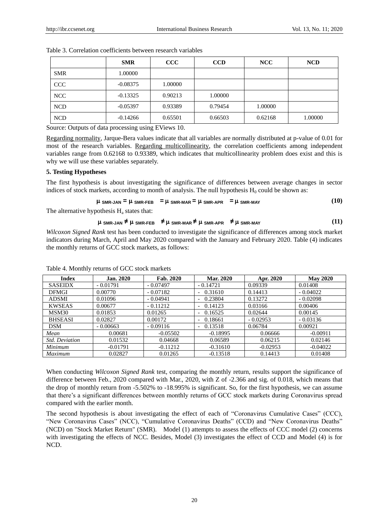|            | <b>SMR</b> | $\bf{ccc}$ | <b>CCD</b> | NCC     | <b>NCD</b> |
|------------|------------|------------|------------|---------|------------|
| <b>SMR</b> | 1.00000    |            |            |         |            |
| CCC        | $-0.08375$ | 1.00000    |            |         |            |
| NCC        | $-0.13325$ | 0.90213    | 1.00000    |         |            |
| <b>NCD</b> | $-0.05397$ | 0.93389    | 0.79454    | 1.00000 |            |
| <b>NCD</b> | $-0.14266$ | 0.65501    | 0.66503    | 0.62168 | 1.00000    |

| Table 3. Correlation coefficients between research variables |
|--------------------------------------------------------------|
|--------------------------------------------------------------|

Source: Outputs of data processing using EViews 10.

Regarding normality, Jarque-Bera values indicate that all variables are normally distributed at p-value of 0.01 for most of the research variables. Regarding multicollinearity, the correlation coefficients among independent variables range from 0.62168 to 0.93389, which indicates that multicollinearity problem does exist and this is why we will use these variables separately.

## **5. Testing Hypotheses**

The first hypothesis is about investigating the significance of differences between average changes in sector indices of stock markets, according to month of analysis. The null hypothesis  $H_0$  could be shown as:

$$
\mu_{\text{SMR-JAN}} = \mu_{\text{SMR-FEB}} = \mu_{\text{SMR-MAR}} = \mu_{\text{SMR-APR}} = \mu_{\text{SMR-MAY}} \tag{10}
$$

The alternative hypothesis  $H_a$  states that:

## $\mu$  smr-Jan  $\neq \mu$  smr-Feb  $\neq \mu$  smr-Mar  $\neq \mu$  smr-Apr  $\neq \mu$  smr-May  $(11)$

*Wilcoxon Signed Rank* test has been conducted to investigate the significance of differences among stock market indicators during March, April and May 2020 compared with the January and February 2020. Table (4) indicates the monthly returns of GCC stock markets, as follows:

| <b>Index</b>          | <b>Jan. 2020</b> | Fab. 2020  | <b>Mar. 2020</b> |            | <b>May 2020</b> |
|-----------------------|------------------|------------|------------------|------------|-----------------|
| <b>SASEIDX</b>        | $-0.01791$       | $-0.07497$ | $-0.14721$       | 0.09339    | 0.01408         |
| <b>DFMGI</b>          | 0.00770          | $-0.07182$ | 0.31610<br>۰     | 0.14413    | $-0.04022$      |
| <b>ADSMI</b>          | 0.01096          | $-0.04941$ | 0.23804<br>۰     | 0.13272    | $-0.02098$      |
| <b>KWSEAS</b>         | 0.00677          | $-0.11212$ | 0.14123<br>۰     | 0.03166    | 0.00406         |
| MSM30                 | 0.01853          | 0.01265    | 0.16525<br>۰     | 0.02644    | 0.00145         |
| <b>BHSEASI</b>        | 0.02827          | 0.00172    | 0.18661<br>۰     | $-0.02953$ | $-0.03136$      |
| <b>DSM</b>            | $-0.00663$       | $-0.09116$ | 0.13518<br>۰     | 0.06784    | 0.00921         |
| Mean                  | 0.00681          | $-0.05502$ | $-0.18995$       | 0.06666    | $-0.00911$      |
| <b>Std.</b> Deviation | 0.01532          | 0.04668    | 0.06589          | 0.06215    | 0.02146         |
| <i>Minimum</i>        | $-0.01791$       | $-0.11212$ | $-0.31610$       | $-0.02953$ | $-0.04022$      |
| Maximum               | 0.02827          | 0.01265    | $-0.13518$       | 0.14413    | 0.01408         |

Table 4. Monthly returns of GCC stock markets

When conducting *Wilcoxon Signed Rank* test, comparing the monthly return, results support the significance of difference between Feb., 2020 compared with Mar., 2020, with Z of -2.366 and sig. of 0.018, which means that the drop of monthly return from -5.502% to -18.995% is significant. So, for the first hypothesis, we can assume that there's a significant differences between monthly returns of GCC stock markets during Coronavirus spread compared with the earlier month.

The second hypothesis is about investigating the effect of each of "Coronavirus Cumulative Cases" (CCC), "New Coronavirus Cases" (NCC), "Cumulative Coronavirus Deaths" (CCD) and "New Coronavirus Deaths" (NCD) on "Stock Market Return" (SMR). Model (1) attempts to assess the effects of CCC model (2) concerns with investigating the effects of NCC. Besides, Model (3) investigates the effect of CCD and Model (4) is for NCD.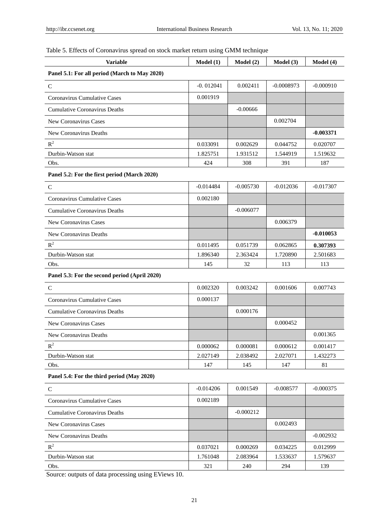# Table 5. Effects of Coronavirus spread on stock market return using GMM technique

| <b>Variable</b>                               | Model(1)    | Model(2)    | Model (3)    | Model (4)   |  |  |
|-----------------------------------------------|-------------|-------------|--------------|-------------|--|--|
| Panel 5.1: For all period (March to May 2020) |             |             |              |             |  |  |
| $\mathsf{C}$                                  | $-0.012041$ | 0.002411    | $-0.0008973$ | $-0.000910$ |  |  |
| Coronavirus Cumulative Cases                  | 0.001919    |             |              |             |  |  |
| <b>Cumulative Coronavirus Deaths</b>          |             | $-0.00666$  |              |             |  |  |
| New Coronavirus Cases                         |             |             | 0.002704     |             |  |  |
| New Coronavirus Deaths                        |             |             |              | $-0.003371$ |  |  |
| $R^2$                                         | 0.033091    | 0.002629    | 0.044752     | 0.020707    |  |  |
| Durbin-Watson stat                            | 1.825751    | 1.931512    | 1.544919     | 1.519632    |  |  |
| Obs.                                          | 424         | 308         | 391          | 187         |  |  |
| Panel 5.2: For the first period (March 2020)  |             |             |              |             |  |  |
| $\mathsf{C}$                                  | $-0.014484$ | $-0.005730$ | $-0.012036$  | $-0.017307$ |  |  |
| Coronavirus Cumulative Cases                  | 0.002180    |             |              |             |  |  |
| <b>Cumulative Coronavirus Deaths</b>          |             | $-0.006077$ |              |             |  |  |
| New Coronavirus Cases                         |             |             | 0.006379     |             |  |  |
| New Coronavirus Deaths                        |             |             |              | $-0.010053$ |  |  |
| $R^2$                                         | 0.011495    | 0.051739    | 0.062865     | 0.307393    |  |  |
| Durbin-Watson stat                            | 1.896340    | 2.363424    | 1.720890     | 2.501683    |  |  |
| Obs.                                          | 145         | 32          | 113          | 113         |  |  |
| Panel 5.3: For the second period (April 2020) |             |             |              |             |  |  |
| $\mathsf{C}$                                  | 0.002320    | 0.003242    | 0.001606     | 0.007743    |  |  |
| Coronavirus Cumulative Cases                  | 0.000137    |             |              |             |  |  |
| <b>Cumulative Coronavirus Deaths</b>          |             | 0.000176    |              |             |  |  |
| New Coronavirus Cases                         |             |             | 0.000452     |             |  |  |
| New Coronavirus Deaths                        |             |             |              | 0.001365    |  |  |
| $R^2$                                         | 0.000062    | 0.000081    | 0.000612     | 0.001417    |  |  |
| Durbin-Watson stat                            | 2.027149    | 2.038492    | 2.027071     | 1.432273    |  |  |
| Obs.                                          | 147         | 145         | 147          | 81          |  |  |
| Panel 5.4: For the third period (May 2020)    |             |             |              |             |  |  |
| $\mathsf{C}$                                  | $-0.014206$ | 0.001549    | $-0.008577$  | $-0.000375$ |  |  |
| Coronavirus Cumulative Cases                  | 0.002189    |             |              |             |  |  |
| <b>Cumulative Coronavirus Deaths</b>          |             | $-0.000212$ |              |             |  |  |
| New Coronavirus Cases                         |             |             | 0.002493     |             |  |  |
| New Coronavirus Deaths                        |             |             |              | $-0.002932$ |  |  |
| $R^2$                                         | 0.037021    | 0.000269    | 0.034225     | 0.012999    |  |  |
| Durbin-Watson stat                            | 1.761048    | 2.083964    | 1.533637     | 1.579637    |  |  |
| Obs.                                          | 321         | 240         | 294          | 139         |  |  |

Source: outputs of data processing using EViews 10.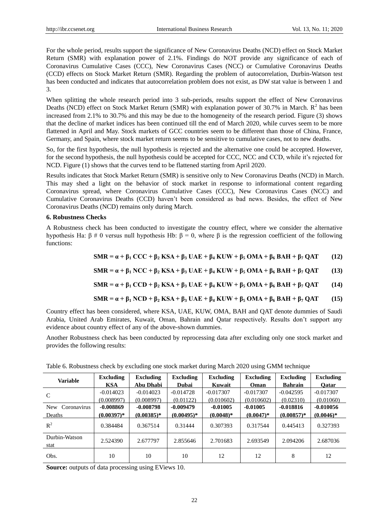For the whole period, results support the significance of New Coronavirus Deaths (NCD) effect on Stock Market Return (SMR) with explanation power of 2.1%. Findings do NOT provide any significance of each of Coronavirus Cumulative Cases (CCC), New Coronavirus Cases (NCC) or Cumulative Coronavirus Deaths (CCD) effects on Stock Market Return (SMR). Regarding the problem of autocorrelation, Durbin-Watson test has been conducted and indicates that autocorrelation problem does not exist, as DW stat value is between 1 and 3.

When splitting the whole research period into 3 sub-periods, results support the effect of New Coronavirus Deaths (NCD) effect on Stock Market Return (SMR) with explanation power of 30.7% in March.  $R^2$  has been increased from 2.1% to 30.7% and this may be due to the homogeneity of the research period. Figure (3) shows that the decline of market indices has been continued till the end of March 2020, while curves seem to be more flattened in April and May. Stock markets of GCC countries seem to be different than those of China, France, Germany, and Spain, where stock market return seems to be sensitive to cumulative cases, not to new deaths.

So, for the first hypothesis, the null hypothesis is rejected and the alternative one could be accepted. However, for the second hypothesis, the null hypothesis could be accepted for CCC, NCC and CCD, while it's rejected for NCD. Figure (1) shows that the curves tend to be flattened starting from April 2020.

Results indicates that Stock Market Return (SMR) is sensitive only to New Coronavirus Deaths (NCD) in March. This may shed a light on the behavior of stock market in response to informational content regarding Coronavirus spread, where Coronavirus Cumulative Cases (CCC), New Coronavirus Cases (NCC) and Cumulative Coronavirus Deaths (CCD) haven't been considered as bad news. Besides, the effect of New Coronavirus Deaths (NCD) remains only during March.

## **6. Robustness Checks**

A Robustness check has been conducted to investigate the country effect, where we consider the alternative hypothesis Ha: β # 0 versus null hypothesis Hb: β = 0, where β is the regression coefficient of the following functions:

 $\text{SMR} = \alpha + \beta_1 \text{CCC} + \beta_2 \text{ KSA} + \beta_3 \text{ UAE} + \beta_4 \text{ KUW} + \beta_5 \text{ OMA} + \beta_6 \text{ BAH} + \beta_7 \text{ OAT}$  (12)

$$
SMR = \alpha + \beta_1 NCC + \beta_2 KSA + \beta_3 UAE + \beta_4 KUW + \beta_5 OMA + \beta_6 BAH + \beta_7 QAT
$$
 (13)

$$
SMR = \alpha + \beta_1 CCD + \beta_2 KSA + \beta_3 UAE + \beta_4 KUW + \beta_5 OMA + \beta_6 BAH + \beta_7 QAT
$$
 (14)

$$
SMR = \alpha + \beta_1 NCD + \beta_2 KSA + \beta_3 UAE + \beta_4 KUW + \beta_5 OMA + \beta_6 BAH + \beta_7 QAT
$$
 (15)

Country effect has been considered, where KSA, UAE, KUW, OMA, BAH and QAT denote dummies of Saudi Arabia, United Arab Emirates, Kuwait, Oman, Bahrain and Qatar respectively. Results don't support any evidence about country effect of any of the above-shown dummies.

Another Robustness check has been conducted by reprocessing data after excluding only one stock market and provides the following results:

| <b>Variable</b>                     | <b>Excluding</b><br><b>KSA</b>             | <b>Excluding</b><br>Abu Dhabi             | <b>Excluding</b><br>Dubai                | <b>Excluding</b><br>Kuwait              | <b>Excluding</b><br>Oman                | <b>Excluding</b><br><b>Bahrain</b>       | <b>Excluding</b><br><b>Oatar</b>        |
|-------------------------------------|--------------------------------------------|-------------------------------------------|------------------------------------------|-----------------------------------------|-----------------------------------------|------------------------------------------|-----------------------------------------|
| C                                   | $-0.014023$                                | $-0.014023$                               | $-0.014728$                              | $-0.017307$                             | $-0.017307$                             | $-0.042595$                              | $-0.017307$                             |
| Coronavirus<br><b>New</b><br>Deaths | (0.008997)<br>$-0.008869$<br>$(0.00397)^*$ | (0.008997)<br>$-0.008798$<br>$(0.00385)*$ | (0.01122)<br>$-0.009479$<br>$(0.00495)*$ | (0.010602)<br>$-0.01005$<br>$(0.0048)*$ | (0.010602)<br>$-0.01005$<br>$(0.0047)*$ | (0.02310)<br>$-0.018816$<br>$(0.00857)*$ | (0.01060)<br>$-0.010056$<br>$(0.0046)*$ |
| $R^2$                               | 0.384484                                   | 0.367514                                  | 0.31444                                  | 0.307393                                | 0.317544                                | 0.445413                                 | 0.327393                                |
| Durbin-Watson<br>stat               | 2.524390                                   | 2.677797                                  | 2.855646                                 | 2.701683                                | 2.693549                                | 2.094206                                 | 2.687036                                |
| Obs.                                | 10                                         | 10                                        | 10                                       | 12                                      | 12                                      | 8                                        | 12                                      |

Table 6. Robustness check by excluding one stock market during March 2020 using GMM technique

**Source:** outputs of data processing using EViews 10.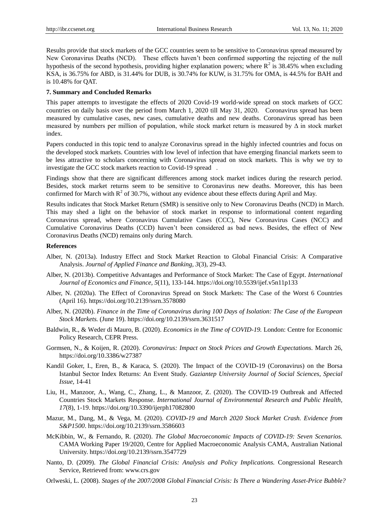Results provide that stock markets of the GCC countries seem to be sensitive to Coronavirus spread measured by New Coronavirus Deaths (NCD). These effects haven't been confirmed supporting the rejecting of the null hypothesis of the second hypothesis, providing higher explanation powers; where  $R^2$  is 38.45% when excluding KSA, is 36.75% for ABD, is 31.44% for DUB, is 30.74% for KUW, is 31.75% for OMA, is 44.5% for BAH and is 10.48% for QAT.

## **7. Summary and Concluded Remarks**

This paper attempts to investigate the effects of 2020 Covid-19 world-wide spread on stock markets of GCC countries on daily basis over the period from March 1, 2020 till May 31, 2020. Coronavirus spread has been measured by cumulative cases, new cases, cumulative deaths and new deaths. Coronavirus spread has been measured by numbers per million of population, while stock market return is measured by  $\Delta$  in stock market index.

Papers conducted in this topic tend to analyze Coronavirus spread in the highly infected countries and focus on the developed stock markets. Countries with low level of infection that have emerging financial markets seem to be less attractive to scholars concerning with Coronavirus spread on stock markets. This is why we try to investigate the GCC stock markets reaction to Covid-19 spread .

Findings show that there are significant differences among stock market indices during the research period. Besides, stock market returns seem to be sensitive to Coronavirus new deaths. Moreover, this has been confirmed for March with  $R^2$  of 30.7%, without any evidence about these effects during April and May.

Results indicates that Stock Market Return (SMR) is sensitive only to New Coronavirus Deaths (NCD) in March. This may shed a light on the behavior of stock market in response to informational content regarding Coronavirus spread, where Coronavirus Cumulative Cases (CCC), New Coronavirus Cases (NCC) and Cumulative Coronavirus Deaths (CCD) haven't been considered as bad news. Besides, the effect of New Coronavirus Deaths (NCD) remains only during March.

## **References**

- Alber, N. (2013a). Industry Effect and Stock Market Reaction to Global Financial Crisis: A Comparative Analysis. *Journal of Applied Finance and Banking, 3*(3), 29-43.
- Alber, N. (2013b). Competitive Advantages and Performance of Stock Market: The Case of Egypt. *International Journal of Economics and Finance, 5*(11), 133-144. https://doi.org/10.5539/ijef.v5n11p133
- Alber, N. (2020a). The Effect of Coronavirus Spread on Stock Markets: The Case of the Worst 6 Countries (April 16). https://doi.org/10.2139/ssrn.3578080
- Alber, N. (2020b). *Finance in the Time of Coronavirus during 100 Days of Isolation: The Case of the European Stock Markets.* (June 19). https://doi.org/10.2139/ssrn.3631517
- Baldwin, R., & Weder di Mauro, B. (2020). *Economics in the Time of COVID-19.* London: Centre for Economic Policy Research, CEPR Press.
- Gormsen, N., & Koijen, R. (2020). *Coronavirus: Impact on Stock Prices and Growth Expectations.* March 26, https://doi.org/10.3386/w27387
- Kandil Goker, I., Eren, B., & Karaca, S. (2020). The Impact of the COVID-19 (Coronavirus) on the Borsa Istanbul Sector Index Returns: An Event Study. *Gaziantep University Journal of Social Sciences, Special Issue,* 14-41
- Liu, H., Manzoor, A., Wang, C., Zhang, L., & Manzoor, Z. (2020). The COVID-19 Outbreak and Affected Countries Stock Markets Response. *International Journal of Environmental Research and Public Health, 17*(8), 1-19. https://doi.org/10.3390/ijerph17082800
- Mazur, M., Dang, M., & Vega, M. (2020). *COVID-19 and March 2020 Stock Market Crash. Evidence from S&P1500*. https://doi.org/10.2139/ssrn.3586603
- McKibbin, W., & Fernando, R. (2020). *The Global Macroeconomic Impacts of COVID-19: Seven Scenarios.* CAMA Working Paper 19/2020, Centre for Applied Macroeconomic Analysis CAMA, Australian National University. https://doi.org/10.2139/ssrn.3547729
- Nanto, D. (2009). *The Global Financial Crisis: Analysis and Policy Implications.* Congressional Research Service, Retrieved from: [www.crs.gov](http://www.crs.gov/)
- Orlweski, L. (2008). *Stages of the 2007/2008 Global Financial Crisis: Is There a Wandering Asset-Price Bubble?*